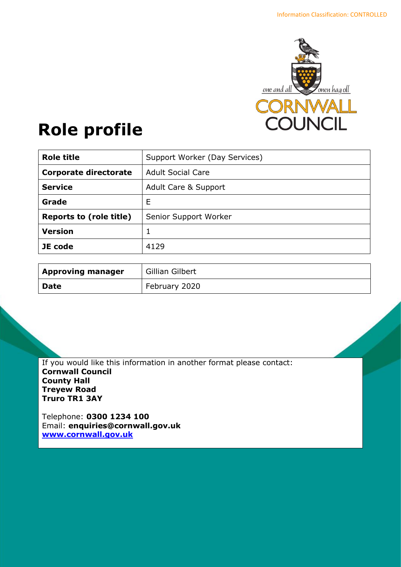

# **Role profile**

| <b>Role title</b>              | Support Worker (Day Services) |
|--------------------------------|-------------------------------|
| <b>Corporate directorate</b>   | <b>Adult Social Care</b>      |
| <b>Service</b>                 | Adult Care & Support          |
| Grade                          | Ε                             |
| <b>Reports to (role title)</b> | Senior Support Worker         |
| <b>Version</b>                 |                               |
| JE code                        | 4129                          |

| <b>Approving manager</b> | Gillian Gilbert |
|--------------------------|-----------------|
| <b>Date</b>              | February 2020   |

If you would like this information in another format please contact: **Cornwall Council County Hall Treyew Road Truro TR1 3AY**

Telephone: **0300 1234 100** Email: **[enquiries@cornwall.gov.uk](mailto:enquiries@cornwall.gov.uk) [www.cornwall.gov.uk](http://www.cornwall.gov.uk/)**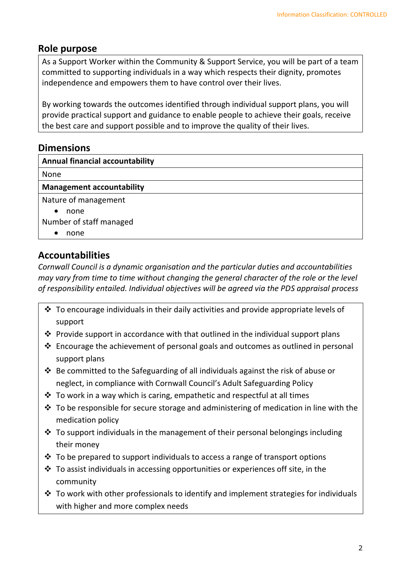## **Role purpose**

As a Support Worker within the Community & Support Service, you will be part of a team committed to supporting individuals in a way which respects their dignity, promotes independence and empowers them to have control over their lives.

By working towards the outcomes identified through individual support plans, you will provide practical support and guidance to enable people to achieve their goals, receive the best care and support possible and to improve the quality of their lives.

# **Dimensions**

| <b>Annual financial accountability</b> |
|----------------------------------------|
| None                                   |
| <b>Management accountability</b>       |
| Nature of management                   |
| none<br>$\bullet$                      |
| Number of staff managed                |
| none                                   |

# **Accountabilities**

*Cornwall Council is a dynamic organisation and the particular duties and accountabilities may vary from time to time without changing the general character of the role or the level of responsibility entailed. Individual objectives will be agreed via the PDS appraisal process* 

- $\cdot$  To encourage individuals in their daily activities and provide appropriate levels of support
- ❖ Provide support in accordance with that outlined in the individual support plans
- ❖ Encourage the achievement of personal goals and outcomes as outlined in personal support plans
- ❖ Be committed to the Safeguarding of all individuals against the risk of abuse or neglect, in compliance with Cornwall Council's Adult Safeguarding Policy
- ❖ To work in a way which is caring, empathetic and respectful at all times
- $\cdot$  To be responsible for secure storage and administering of medication in line with the medication policy
- $\cdot$  To support individuals in the management of their personal belongings including their money
- $\cdot$  To be prepared to support individuals to access a range of transport options
- ❖ To assist individuals in accessing opportunities or experiences off site, in the community
- $\cdot$  To work with other professionals to identify and implement strategies for individuals with higher and more complex needs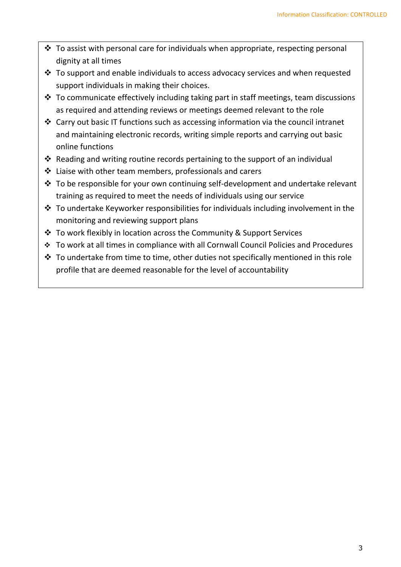- ❖ To assist with personal care for individuals when appropriate, respecting personal dignity at all times
- ❖ To support and enable individuals to access advocacy services and when requested support individuals in making their choices.
- $\cdot$  To communicate effectively including taking part in staff meetings, team discussions as required and attending reviews or meetings deemed relevant to the role
- ❖ Carry out basic IT functions such as accessing information via the council intranet and maintaining electronic records, writing simple reports and carrying out basic online functions
- ❖ Reading and writing routine records pertaining to the support of an individual
- ❖ Liaise with other team members, professionals and carers
- ❖ To be responsible for your own continuing self-development and undertake relevant training as required to meet the needs of individuals using our service
- $\cdot$  To undertake Keyworker responsibilities for individuals including involvement in the monitoring and reviewing support plans
- ❖ To work flexibly in location across the Community & Support Services
- ❖ To work at all times in compliance with all Cornwall Council Policies and Procedures
- $\cdot$  To undertake from time to time, other duties not specifically mentioned in this role profile that are deemed reasonable for the level of accountability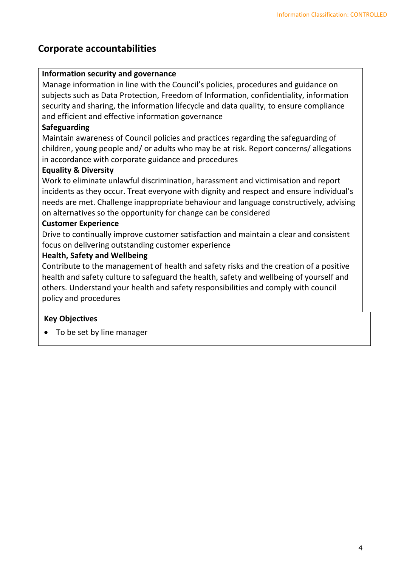## **Corporate accountabilities**

#### **Information security and governance**

Manage information in line with the Council's policies, procedures and guidance on subjects such as Data Protection, Freedom of Information, confidentiality, information security and sharing, the information lifecycle and data quality, to ensure compliance and efficient and effective information governance

#### **Safeguarding**

Maintain awareness of Council policies and practices regarding the safeguarding of children, young people and/ or adults who may be at risk. Report concerns/ allegations in accordance with corporate guidance and procedures

#### **Equality & Diversity**

Work to eliminate unlawful discrimination, harassment and victimisation and report incidents as they occur. Treat everyone with dignity and respect and ensure individual's needs are met. Challenge inappropriate behaviour and language constructively, advising on alternatives so the opportunity for change can be considered

#### **Customer Experience**

Drive to continually improve customer satisfaction and maintain a clear and consistent focus on delivering outstanding customer experience

#### **Health, Safety and Wellbeing**

Contribute to the management of health and safety risks and the creation of a positive health and safety culture to safeguard the health, safety and wellbeing of yourself and others. Understand your health and safety responsibilities and comply with council policy and procedures

#### **Key Objectives**

• To be set by line manager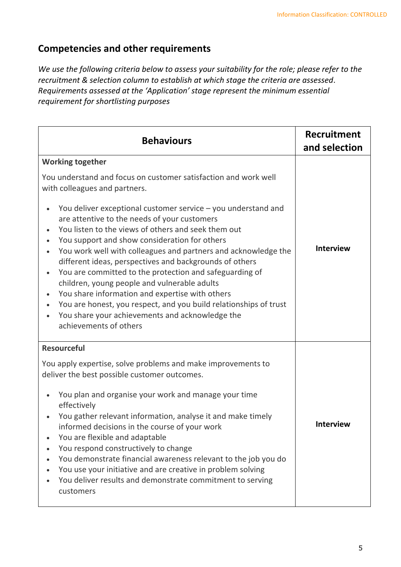## **Competencies and other requirements**

*We use the following criteria below to assess your suitability for the role; please refer to the recruitment & selection column to establish at which stage the criteria are assessed. Requirements assessed at the 'Application' stage represent the minimum essential requirement for shortlisting purposes*

| <b>Behaviours</b>                                                                                                                                                                                                                                                                                                                                                                                                                                                                                                                                                                                                                                                                                                                                                                                                                                                               | Recruitment<br>and selection |
|---------------------------------------------------------------------------------------------------------------------------------------------------------------------------------------------------------------------------------------------------------------------------------------------------------------------------------------------------------------------------------------------------------------------------------------------------------------------------------------------------------------------------------------------------------------------------------------------------------------------------------------------------------------------------------------------------------------------------------------------------------------------------------------------------------------------------------------------------------------------------------|------------------------------|
| <b>Working together</b><br>You understand and focus on customer satisfaction and work well<br>with colleagues and partners.<br>You deliver exceptional customer service - you understand and<br>are attentive to the needs of your customers<br>You listen to the views of others and seek them out<br>$\bullet$<br>You support and show consideration for others<br>$\bullet$<br>You work well with colleagues and partners and acknowledge the<br>$\bullet$<br>different ideas, perspectives and backgrounds of others<br>You are committed to the protection and safeguarding of<br>$\bullet$<br>children, young people and vulnerable adults<br>You share information and expertise with others<br>You are honest, you respect, and you build relationships of trust<br>$\bullet$<br>You share your achievements and acknowledge the<br>$\bullet$<br>achievements of others | <b>Interview</b>             |
| <b>Resourceful</b><br>You apply expertise, solve problems and make improvements to<br>deliver the best possible customer outcomes.<br>You plan and organise your work and manage your time<br>effectively<br>You gather relevant information, analyse it and make timely<br>informed decisions in the course of your work<br>You are flexible and adaptable<br>You respond constructively to change<br>You demonstrate financial awareness relevant to the job you do<br>You use your initiative and are creative in problem solving<br>You deliver results and demonstrate commitment to serving<br>customers                                                                                                                                                                                                                                                                  | <b>Interview</b>             |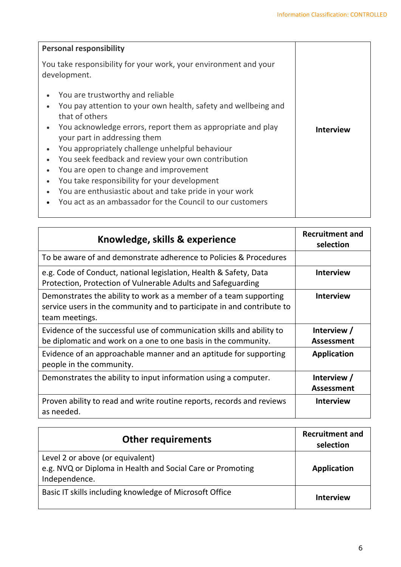| <b>Personal responsibility</b>                                                                                                                                                                                                                                                                                                                                                                                                                                                                                                                                                       |                  |
|--------------------------------------------------------------------------------------------------------------------------------------------------------------------------------------------------------------------------------------------------------------------------------------------------------------------------------------------------------------------------------------------------------------------------------------------------------------------------------------------------------------------------------------------------------------------------------------|------------------|
| You take responsibility for your work, your environment and your<br>development.                                                                                                                                                                                                                                                                                                                                                                                                                                                                                                     |                  |
| You are trustworthy and reliable<br>$\bullet$<br>You pay attention to your own health, safety and wellbeing and<br>that of others<br>You acknowledge errors, report them as appropriate and play<br>$\bullet$<br>your part in addressing them<br>You appropriately challenge unhelpful behaviour<br>You seek feedback and review your own contribution<br>$\bullet$<br>You are open to change and improvement<br>You take responsibility for your development<br>You are enthusiastic about and take pride in your work<br>You act as an ambassador for the Council to our customers | <b>Interview</b> |

| Knowledge, skills & experience                                                                                                                                | <b>Recruitment and</b><br>selection |
|---------------------------------------------------------------------------------------------------------------------------------------------------------------|-------------------------------------|
| To be aware of and demonstrate adherence to Policies & Procedures                                                                                             |                                     |
| e.g. Code of Conduct, national legislation, Health & Safety, Data<br>Protection, Protection of Vulnerable Adults and Safeguarding                             | <b>Interview</b>                    |
| Demonstrates the ability to work as a member of a team supporting<br>service users in the community and to participate in and contribute to<br>team meetings. | <b>Interview</b>                    |
| Evidence of the successful use of communication skills and ability to<br>be diplomatic and work on a one to one basis in the community.                       | Interview /<br><b>Assessment</b>    |
| Evidence of an approachable manner and an aptitude for supporting<br>people in the community.                                                                 | <b>Application</b>                  |
| Demonstrates the ability to input information using a computer.                                                                                               | Interview /<br><b>Assessment</b>    |
| Proven ability to read and write routine reports, records and reviews<br>as needed.                                                                           | <b>Interview</b>                    |

| <b>Other requirements</b>                                                                                       | <b>Recruitment and</b><br>selection |
|-----------------------------------------------------------------------------------------------------------------|-------------------------------------|
| Level 2 or above (or equivalent)<br>e.g. NVQ or Diploma in Health and Social Care or Promoting<br>Independence. | Application                         |
| Basic IT skills including knowledge of Microsoft Office                                                         | <b>Interview</b>                    |